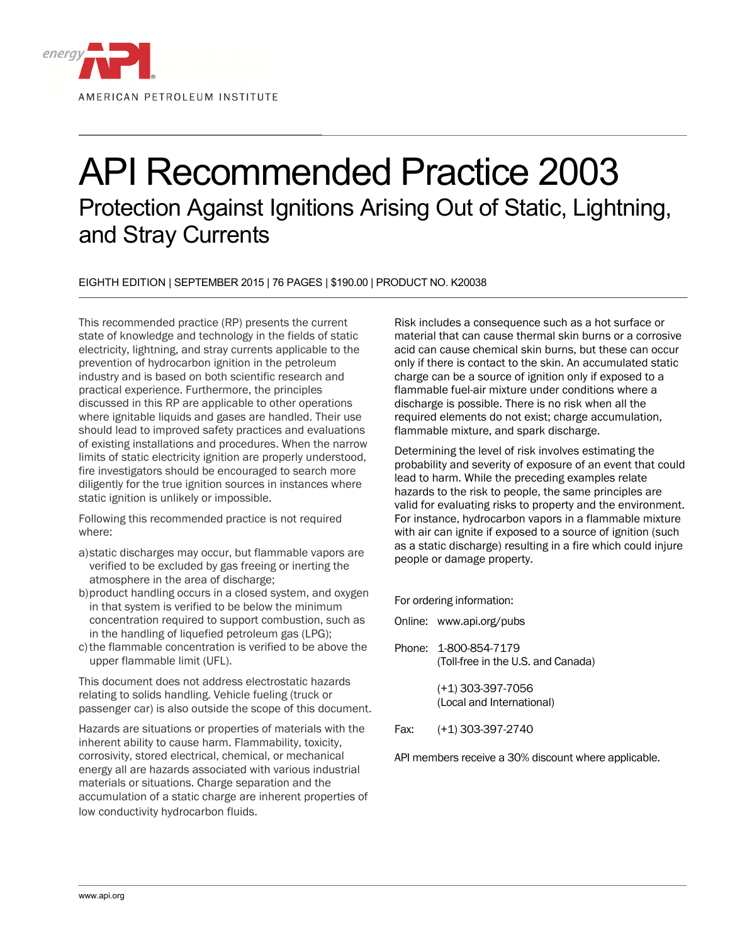

## API Recommended Practice 2003 Protection Against Ignitions Arising Out of Static, Lightning, and Stray Currents

EIGHTH EDITION | SEPTEMBER 2015 | 76 PAGES | \$190.00 | PRODUCT NO. K20038

This recommended practice (RP) presents the current state of knowledge and technology in the fields of static electricity, lightning, and stray currents applicable to the prevention of hydrocarbon ignition in the petroleum industry and is based on both scientific research and practical experience. Furthermore, the principles discussed in this RP are applicable to other operations where ignitable liquids and gases are handled. Their use should lead to improved safety practices and evaluations of existing installations and procedures. When the narrow limits of static electricity ignition are properly understood, fire investigators should be encouraged to search more diligently for the true ignition sources in instances where static ignition is unlikely or impossible.

Following this recommended practice is not required where:

- a)static discharges may occur, but flammable vapors are verified to be excluded by gas freeing or inerting the atmosphere in the area of discharge;
- b)product handling occurs in a closed system, and oxygen in that system is verified to be below the minimum concentration required to support combustion, such as in the handling of liquefied petroleum gas (LPG);
- c) the flammable concentration is verified to be above the upper flammable limit (UFL).

This document does not address electrostatic hazards relating to solids handling. Vehicle fueling (truck or passenger car) is also outside the scope of this document.

Hazards are situations or properties of materials with the inherent ability to cause harm. Flammability, toxicity, corrosivity, stored electrical, chemical, or mechanical energy all are hazards associated with various industrial materials or situations. Charge separation and the accumulation of a static charge are inherent properties of low conductivity hydrocarbon fluids.

Risk includes a consequence such as a hot surface or material that can cause thermal skin burns or a corrosive acid can cause chemical skin burns, but these can occur only if there is contact to the skin. An accumulated static charge can be a source of ignition only if exposed to a flammable fuel-air mixture under conditions where a discharge is possible. There is no risk when all the required elements do not exist; charge accumulation, flammable mixture, and spark discharge.

Determining the level of risk involves estimating the probability and severity of exposure of an event that could lead to harm. While the preceding examples relate hazards to the risk to people, the same principles are valid for evaluating risks to property and the environment. For instance, hydrocarbon vapors in a flammable mixture with air can ignite if exposed to a source of ignition (such as a static discharge) resulting in a fire which could injure people or damage property.

For ordering information:

- Online: www.api.org/pubs
- Phone: 1-800-854-7179 (Toll-free in the U.S. and Canada)

 (+1) 303-397-7056 (Local and International)

Fax: (+1) 303-397-2740

API members receive a 30% discount where applicable.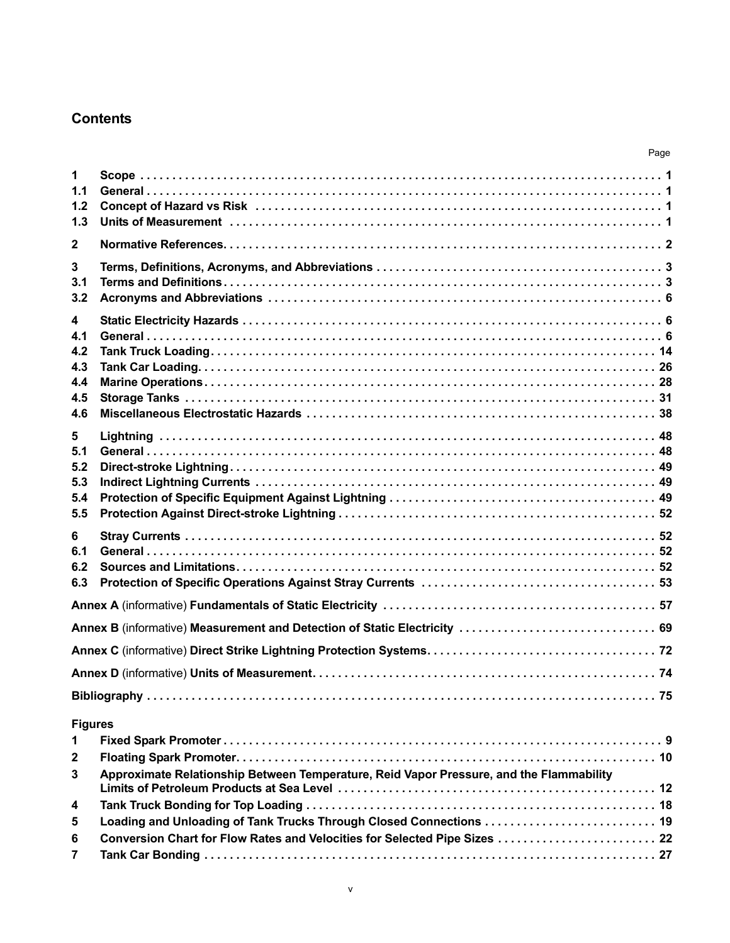## **Contents**

|                                             |                                                                                                                                                   | Page |
|---------------------------------------------|---------------------------------------------------------------------------------------------------------------------------------------------------|------|
| 1<br>1.1<br>1.2<br>1.3                      |                                                                                                                                                   |      |
| $\mathbf 2$                                 |                                                                                                                                                   |      |
| 3<br>3.1<br>3.2                             |                                                                                                                                                   |      |
| 4<br>4.1<br>4.2<br>4.3<br>4.4<br>4.5<br>4.6 |                                                                                                                                                   |      |
| 5<br>5.1<br>5.2<br>5.3<br>5.4<br>5.5        |                                                                                                                                                   |      |
| 6<br>6.1<br>6.2<br>6.3                      |                                                                                                                                                   |      |
|                                             |                                                                                                                                                   |      |
|                                             | Annex B (informative) Measurement and Detection of Static Electricity  69                                                                         |      |
|                                             |                                                                                                                                                   |      |
|                                             |                                                                                                                                                   |      |
|                                             |                                                                                                                                                   |      |
| <b>Figures</b><br>$\mathbf 1$               |                                                                                                                                                   |      |
| $\mathbf{2}$<br>3                           | Approximate Relationship Between Temperature, Reid Vapor Pressure, and the Flammability                                                           |      |
| 4                                           |                                                                                                                                                   |      |
| 5<br>6                                      | Loading and Unloading of Tank Trucks Through Closed Connections  19<br>Conversion Chart for Flow Rates and Velocities for Selected Pipe Sizes  22 |      |
| 7                                           |                                                                                                                                                   |      |